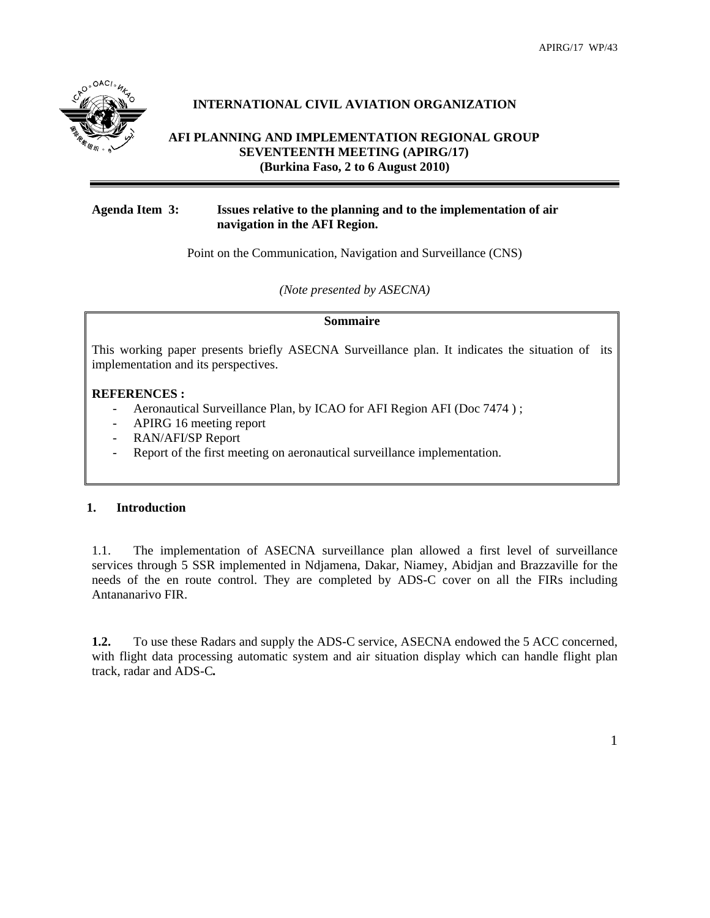

# **INTERNATIONAL CIVIL AVIATION ORGANIZATION**

# **AFI PLANNING AND IMPLEMENTATION REGIONAL GROUP SEVENTEENTH MEETING (APIRG/17) (Burkina Faso, 2 to 6 August 2010)**

## **Agenda Item 3: Issues relative to the planning and to the implementation of air navigation in the AFI Region.**

Point on the Communication, Navigation and Surveillance (CNS)

*(Note presented by ASECNA)* 

#### **Sommaire**

This working paper presents briefly ASECNA Surveillance plan. It indicates the situation of its implementation and its perspectives.

### **REFERENCES :**

- Aeronautical Surveillance Plan, by ICAO for AFI Region AFI (Doc 7474);
- APIRG 16 meeting report
- RAN/AFI/SP Report
- Report of the first meeting on aeronautical surveillance implementation.

## **1. Introduction**

1.1. The implementation of ASECNA surveillance plan allowed a first level of surveillance services through 5 SSR implemented in Ndjamena, Dakar, Niamey, Abidjan and Brazzaville for the needs of the en route control. They are completed by ADS-C cover on all the FIRs including Antananarivo FIR.

**1.2.** To use these Radars and supply the ADS-C service, ASECNA endowed the 5 ACC concerned, with flight data processing automatic system and air situation display which can handle flight plan track, radar and ADS-C*.*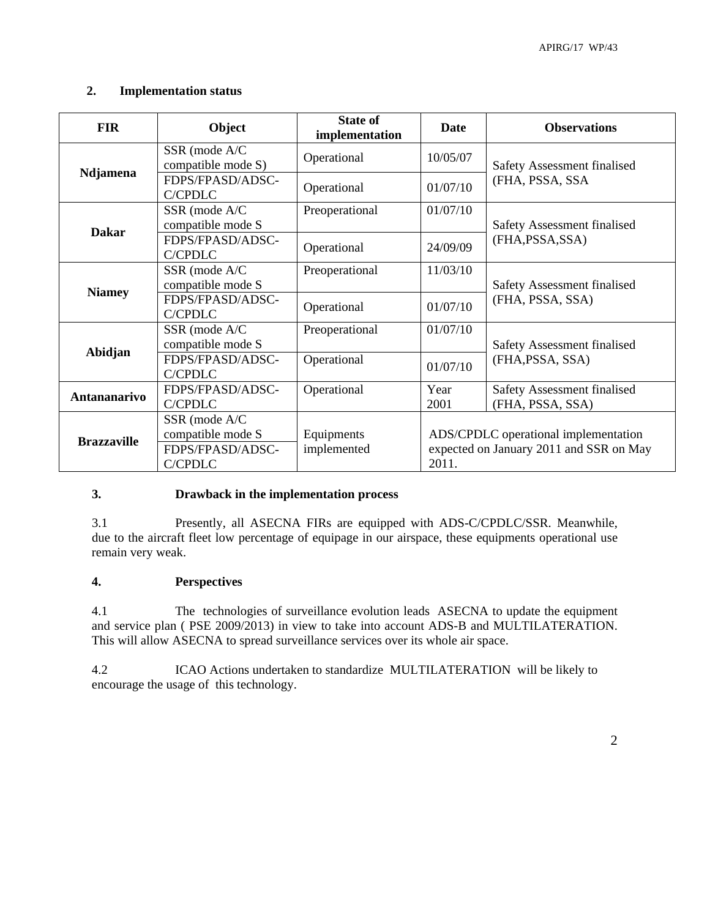# **2. Implementation status**

| <b>FIR</b>          | Object                                                            | <b>State of</b><br>implementation | <b>Date</b>  | <b>Observations</b>                                                             |
|---------------------|-------------------------------------------------------------------|-----------------------------------|--------------|---------------------------------------------------------------------------------|
| Ndjamena            | SSR (mode A/C)<br>compatible mode S)                              | Operational                       | 10/05/07     | Safety Assessment finalised<br>(FHA, PSSA, SSA                                  |
|                     | FDPS/FPASD/ADSC-<br><b>C/CPDLC</b>                                | Operational                       | 01/07/10     |                                                                                 |
| <b>Dakar</b>        | SSR (mode A/C<br>compatible mode S                                | Preoperational                    | 01/07/10     | Safety Assessment finalised<br>(FHA, PSSA, SSA)                                 |
|                     | FDPS/FPASD/ADSC-<br><b>C/CPDLC</b>                                | Operational                       | 24/09/09     |                                                                                 |
| <b>Niamey</b>       | SSR (mode A/C)<br>compatible mode S                               | Preoperational                    | 11/03/10     | Safety Assessment finalised<br>(FHA, PSSA, SSA)                                 |
|                     | FDPS/FPASD/ADSC-<br><b>C/CPDLC</b>                                | Operational                       | 01/07/10     |                                                                                 |
| Abidjan             | SSR (mode A/C)<br>compatible mode S                               | Preoperational                    | 01/07/10     | <b>Safety Assessment finalised</b><br>(FHA, PSSA, SSA)                          |
|                     | FDPS/FPASD/ADSC-<br>C/CPDLC                                       | Operational                       | 01/07/10     |                                                                                 |
| <b>Antananarivo</b> | FDPS/FPASD/ADSC-<br>C/CPDLC                                       | Operational                       | Year<br>2001 | <b>Safety Assessment finalised</b><br>(FHA, PSSA, SSA)                          |
| <b>Brazzaville</b>  | SSR (mode A/C<br>compatible mode S<br>FDPS/FPASD/ADSC-<br>C/CPDLC | Equipments<br>implemented         | 2011.        | ADS/CPDLC operational implementation<br>expected on January 2011 and SSR on May |

## **3. Drawback in the implementation process**

3.1 Presently, all ASECNA FIRs are equipped with ADS-C/CPDLC/SSR. Meanwhile, due to the aircraft fleet low percentage of equipage in our airspace, these equipments operational use remain very weak.

#### **4. Perspectives**

4.1 The technologies of surveillance evolution leads ASECNA to update the equipment and service plan ( PSE 2009/2013) in view to take into account ADS-B and MULTILATERATION. This will allow ASECNA to spread surveillance services over its whole air space.

4.2 ICAO Actions undertaken to standardize MULTILATERATION will be likely to encourage the usage of this technology.